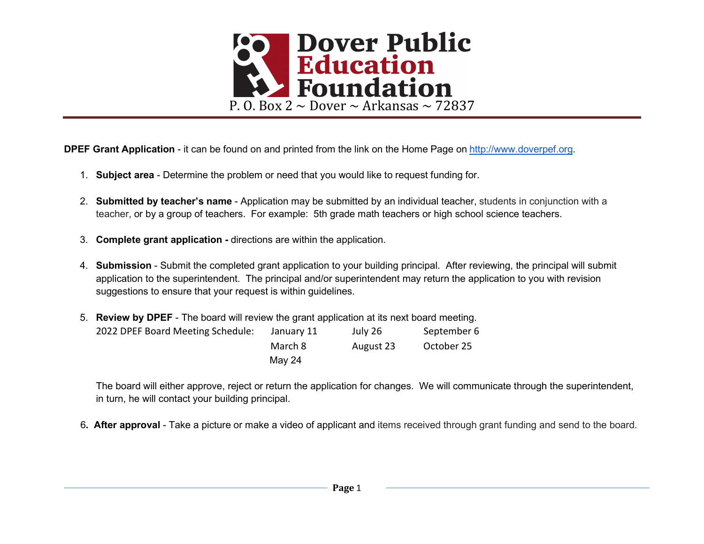

DPEF Grant Application - it can be found on and printed from the link on the Home Page on http://www.doverpef.org.

- 1. Subject area Determine the problem or need that you would like to request funding for.
- 2. Submitted by teacher's name Application may be submitted by an individual teacher, students in conjunction with a teacher, or by a group of teachers. For example: 5th grade math teachers or high school science teachers.
- 3. Complete grant application directions are within the application.
- 4. Submission Submit the completed grant application to your building principal. After reviewing, the principal will submit application to the superintendent. The principal and/or superintendent may return the application to you with revision suggestions to ensure that your request is within guidelines.
- 5. Review by DPEF The board will review the grant application at its next board meeting. 2022 DPEF Board Meeting Schedule: January 11 July 26 September 6 March 8 August 23 October 25 May 24

The board will either approve, reject or return the application for changes. We will communicate through the superintendent, in turn, he will contact your building principal.

6. After approval - Take a picture or make a video of applicant and items received through grant funding and send to the board.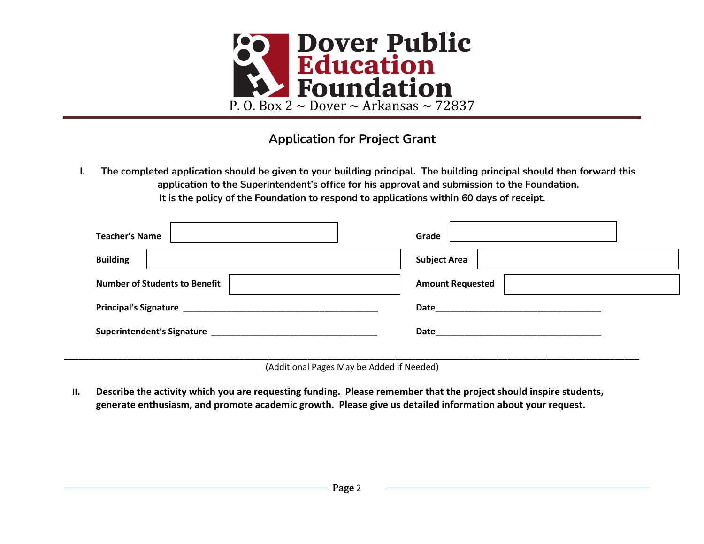

## Application for Project Grant

I. The completed application should be given to your building principal. The building principal should then forward this application to the Superintendent's office for his approval and submission to the Foundation. It is the policy of the Foundation to respond to applications within 60 days of receipt.

| <b>Teacher's Name</b>                | Grade                   |
|--------------------------------------|-------------------------|
| <b>Building</b>                      | <b>Subject Area</b>     |
| <b>Number of Students to Benefit</b> | <b>Amount Requested</b> |
|                                      |                         |
|                                      | Date                    |
|                                      |                         |

(Additional Pages May be Added if Needed)

II. Describe the activity which you are requesting funding. Please remember that the project should inspire students, generate enthusiasm, and promote academic growth. Please give us detailed information about your request.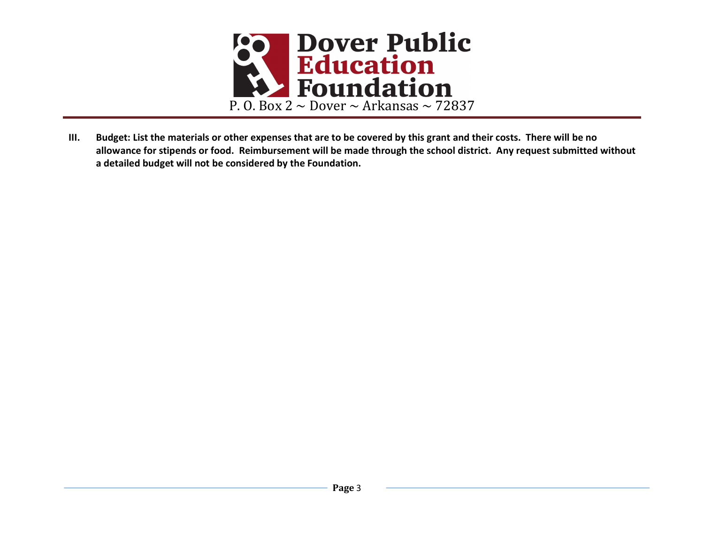

III. Budget: List the materials or other expenses that are to be covered by this grant and their costs. There will be no allowance for stipends or food. Reimbursement will be made through the school district. Any request submitted without a detailed budget will not be considered by the Foundation.